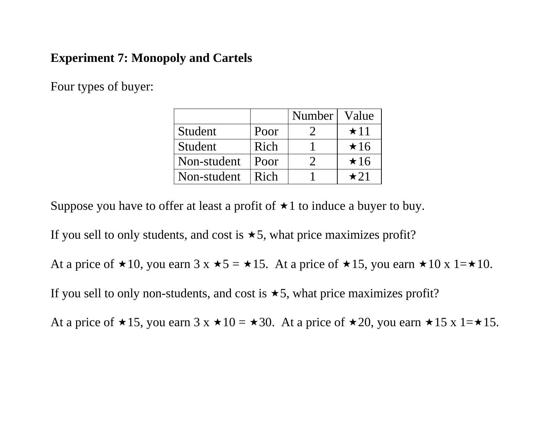# **Experiment 7: Monopoly and Cartels**

Four types of buyer:

|             |      | Number | Value       |
|-------------|------|--------|-------------|
| Student     | Poor |        | $\star$ 11  |
| Student     | Rich |        | $\star 16$  |
| Non-student | Poor |        | $\star 16$  |
| Non-student | Rich |        | $\star$ 2.1 |

Suppose you have to offer at least a profit of  $\star 1$  to induce a buyer to buy.

If you sell to only students, and cost is  $\star$  5, what price maximizes profit?

At a price of  $\star 10$ , you earn 3 x  $\star 5 = \star 15$ . At a price of  $\star 15$ , you earn  $\star 10$  x 1= $\star 10$ .

If you sell to only non-students, and cost is  $\star$ 5, what price maximizes profit?

At a price of  $\star 15$ , you earn 3 x  $\star 10 = \star 30$ . At a price of  $\star 20$ , you earn  $\star 15$  x 1= $\star 15$ .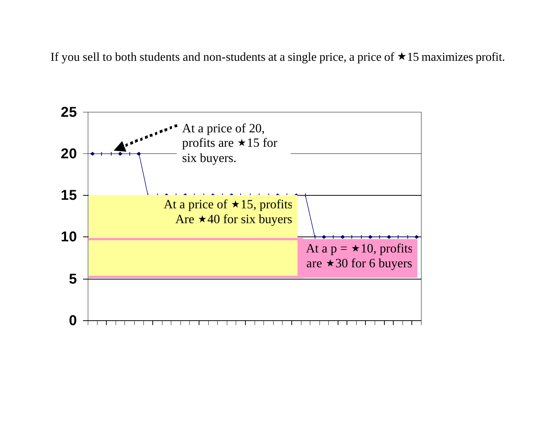If you sell to both students and non-students at a single price, a price of  $\star$  15 maximizes profit.

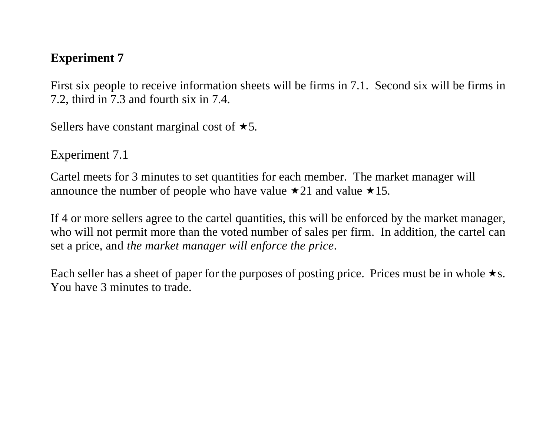# **Experiment 7**

First six people to receive information sheets will be firms in 7.1. Second six will be firms in 7.2, third in 7.3 and fourth six in 7.4.

Sellers have constant marginal cost of  $\star$ 5.

Experiment 7.1

Cartel meets for 3 minutes to set quantities for each member. The market manager will announce the number of people who have value  $\star 21$  and value  $\star 15$ .

If 4 or more sellers agree to the cartel quantities, this will be enforced by the market manager, who will not permit more than the voted number of sales per firm. In addition, the cartel can set a price, and *the market manager will enforce the price*.

Each seller has a sheet of paper for the purposes of posting price. Prices must be in whole  $\star$ s. You have 3 minutes to trade.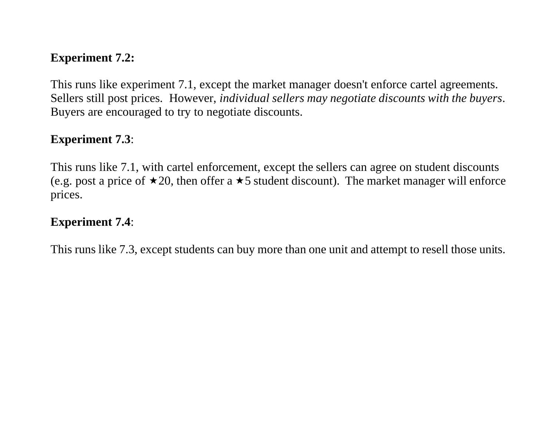#### **Experiment 7.2:**

This runs like experiment 7.1, except the market manager doesn't enforce cartel agreements. Sellers still post prices. However, *individual sellers may negotiate discounts with the buyers*. Buyers are encouraged to try to negotiate discounts.

#### **Experiment 7.3**:

This runs like 7.1, with cartel enforcement, except the sellers can agree on student discounts (e.g. post a price of  $\star 20$ , then offer a  $\star 5$  student discount). The market manager will enforce prices.

#### **Experiment 7.4**:

This runs like 7.3, except students can buy more than one unit and attempt to resell those units.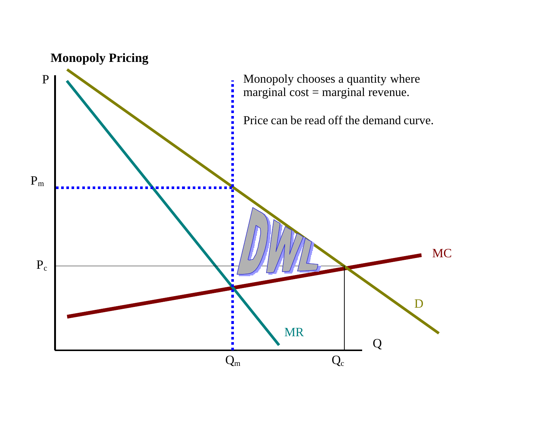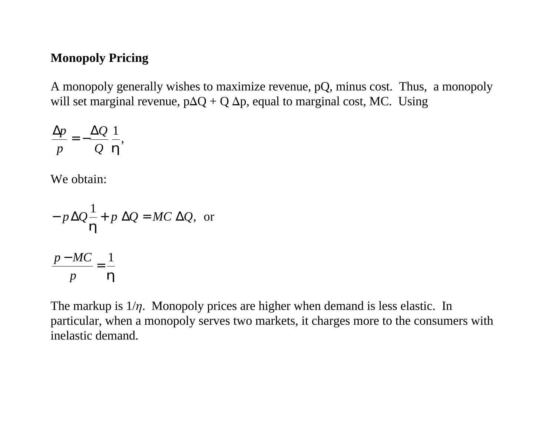### **Monopoly Pricing**

A monopoly generally wishes to maximize revenue, pQ, minus cost. Thus, a monopoly will set marginal revenue,  $p\Delta Q + Q \Delta p$ , equal to marginal cost, MC. Using

$$
\frac{\Delta p}{p} = -\frac{\Delta Q}{Q} \frac{1}{\bm{h}},
$$

We obtain:

$$
-p\Delta Q\frac{1}{h} + p\Delta Q = MC\Delta Q, \text{ or}
$$
  

$$
\frac{p - MC}{p} = \frac{1}{h}
$$

The markup is  $1/\eta$ . Monopoly prices are higher when demand is less elastic. In particular, when a monopoly serves two markets, it charges more to the consumers with inelastic demand.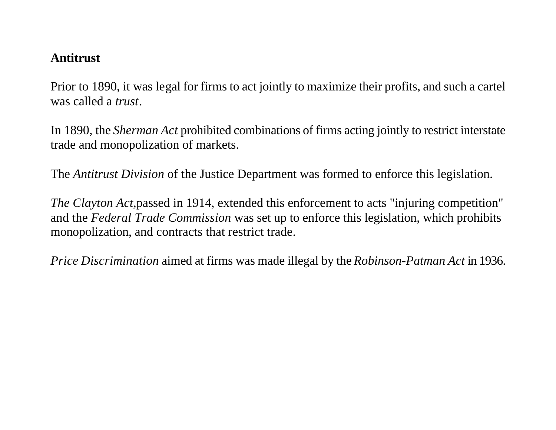#### **Antitrust**

Prior to 1890, it was legal for firms to act jointly to maximize their profits, and such a cartel was called a *trust*.

In 1890, the *Sherman Act* prohibited combinations of firms acting jointly to restrict interstate trade and monopolization of markets.

The *Antitrust Division* of the Justice Department was formed to enforce this legislation.

*The Clayton Act*,passed in 1914, extended this enforcement to acts "injuring competition" and the *Federal Trade Commission* was set up to enforce this legislation, which prohibits monopolization, and contracts that restrict trade.

*Price Discrimination* aimed at firms was made illegal by the *Robinson-Patman Act* in 1936.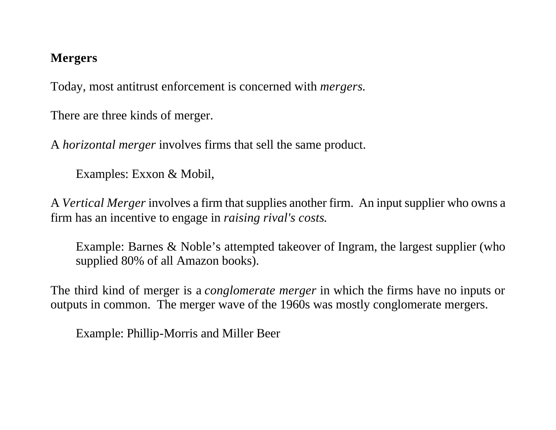## **Mergers**

Today, most antitrust enforcement is concerned with *mergers*.

There are three kinds of merger.

A *horizontal merger* involves firms that sell the same product.

Examples: Exxon & Mobil,

A *Vertical Merger* involves a firm that supplies another firm. An input supplier who owns a firm has an incentive to engage in *raising rival's costs*.

Example: Barnes & Noble's attempted takeover of Ingram, the largest supplier (who supplied 80% of all Amazon books).

The third kind of merger is a *conglomerate merger* in which the firms have no inputs or outputs in common. The merger wave of the 1960s was mostly conglomerate mergers.

Example: Phillip-Morris and Miller Beer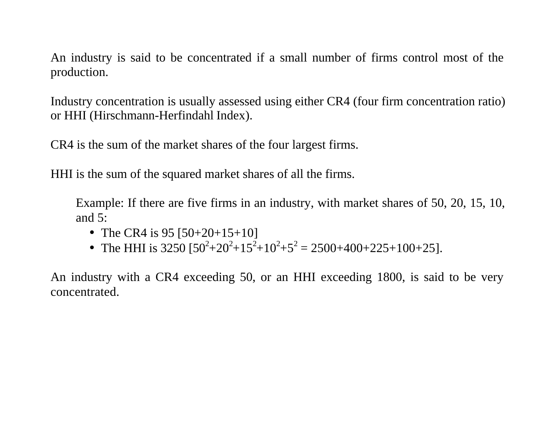An industry is said to be concentrated if a small number of firms control most of the production.

Industry concentration is usually assessed using either CR4 (four firm concentration ratio) or HHI (Hirschmann-Herfindahl Index).

CR4 is the sum of the market shares of the four largest firms.

HHI is the sum of the squared market shares of all the firms.

Example: If there are five firms in an industry, with market shares of 50, 20, 15, 10, and 5:

- The CR4 is  $95 [50+20+15+10]$
- The HHI is 3250  $[50^2 + 20^2 + 15^2 + 10^2 + 5^2 = 2500 + 400 + 225 + 100 + 25]$ .

An industry with a CR4 exceeding 50, or an HHI exceeding 1800, is said to be very concentrated.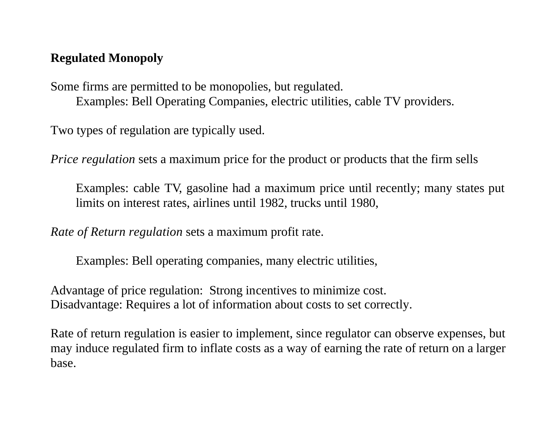# **Regulated Monopoly**

Some firms are permitted to be monopolies, but regulated. Examples: Bell Operating Companies, electric utilities, cable TV providers.

Two types of regulation are typically used.

*Price regulation* sets a maximum price for the product or products that the firm sells

Examples: cable TV, gasoline had a maximum price until recently; many states put limits on interest rates, airlines until 1982, trucks until 1980,

*Rate of Return regulation* sets a maximum profit rate.

Examples: Bell operating companies, many electric utilities,

Advantage of price regulation: Strong incentives to minimize cost. Disadvantage: Requires a lot of information about costs to set correctly.

Rate of return regulation is easier to implement, since regulator can observe expenses, but may induce regulated firm to inflate costs as a way of earning the rate of return on a larger base.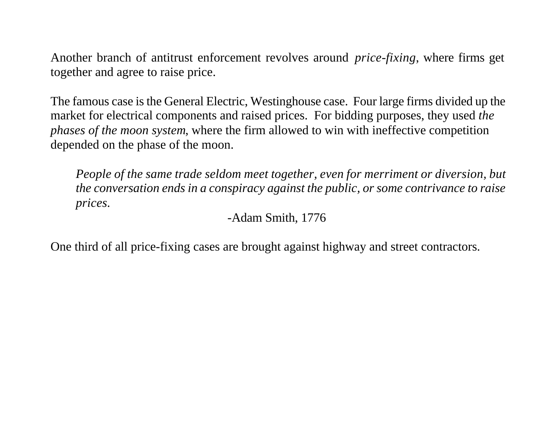Another branch of antitrust enforcement revolves around *price-fixing*, where firms get together and agree to raise price.

The famous case is the General Electric, Westinghouse case. Four large firms divided up the market for electrical components and raised prices. For bidding purposes, they used *the phases of the moon system*, where the firm allowed to win with ineffective competition depended on the phase of the moon.

*People of the same trade seldom meet together, even for merriment or diversion, but the conversation ends in a conspiracy against the public, or some contrivance to raise prices.*

-Adam Smith, 1776

One third of all price-fixing cases are brought against highway and street contractors.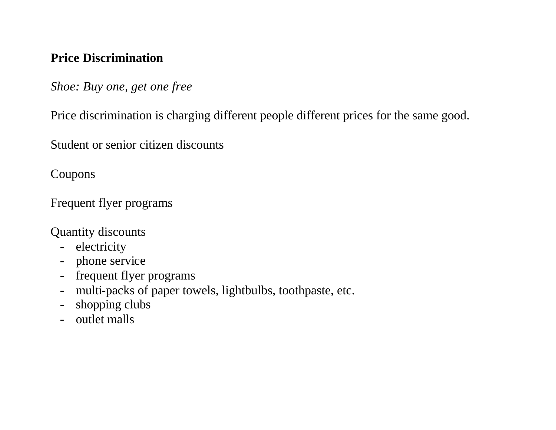# **Price Discrimination**

*Shoe: Buy one, get one free*

Price discrimination is charging different people different prices for the same good.

Student or senior citizen discounts

Coupons

Frequent flyer programs

Quantity discounts

- electricity
- phone service
- frequent flyer programs
- multi-packs of paper towels, lightbulbs, toothpaste, etc.
- shopping clubs
- outlet malls